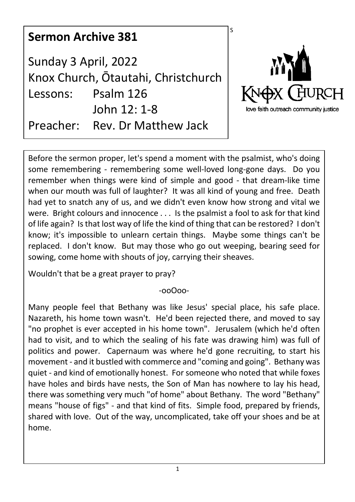| <b>Sermon Archive 381</b>        |                                                                                                    | S                                                           |
|----------------------------------|----------------------------------------------------------------------------------------------------|-------------------------------------------------------------|
| Sunday 3 April, 2022<br>Lessons: | Knox Church, Ōtautahi, Christchurch<br>Psalm 126<br>John 12: 1-8<br>Preacher: Rev. Dr Matthew Jack | MYA<br>KNOX CHURCH<br>love faith outreach community justice |

Before the sermon proper, let's spend a moment with the psalmist, who's doing some remembering - remembering some well-loved long-gone days. Do you remember when things were kind of simple and good - that dream-like time when our mouth was full of laughter? It was all kind of young and free. Death had yet to snatch any of us, and we didn't even know how strong and vital we were. Bright colours and innocence . . . Is the psalmist a fool to ask for that kind of life again? Is that lost way of life the kind of thing that can be restored? I don't know; it's impossible to unlearn certain things. Maybe some things can't be replaced. I don't know. But may those who go out weeping, bearing seed for sowing, come home with shouts of joy, carrying their sheaves.

Wouldn't that be a great prayer to pray?

-ooOoo-

Many people feel that Bethany was like Jesus' special place, his safe place. Nazareth, his home town wasn't. He'd been rejected there, and moved to say "no prophet is ever accepted in his home town". Jerusalem (which he'd often had to visit, and to which the sealing of his fate was drawing him) was full of politics and power. Capernaum was where he'd gone recruiting, to start his movement - and it bustled with commerce and "coming and going". Bethany was quiet - and kind of emotionally honest. For someone who noted that while foxes have holes and birds have nests, the Son of Man has nowhere to lay his head, there was something very much "of home" about Bethany. The word "Bethany" means "house of figs" - and that kind of fits. Simple food, prepared by friends, shared with love. Out of the way, uncomplicated, take off your shoes and be at home.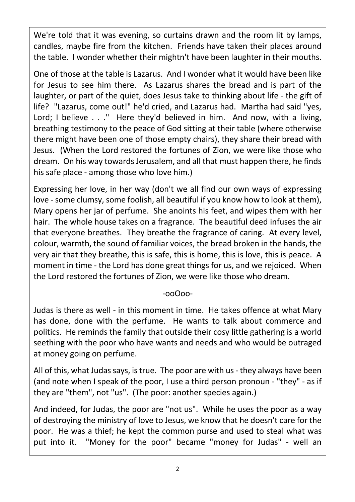We're told that it was evening, so curtains drawn and the room lit by lamps, candles, maybe fire from the kitchen. Friends have taken their places around the table. I wonder whether their mightn't have been laughter in their mouths.

One of those at the table is Lazarus. And I wonder what it would have been like for Jesus to see him there. As Lazarus shares the bread and is part of the laughter, or part of the quiet, does Jesus take to thinking about life - the gift of life? "Lazarus, come out!" he'd cried, and Lazarus had. Martha had said "yes, Lord; I believe . . ." Here they'd believed in him. And now, with a living, breathing testimony to the peace of God sitting at their table (where otherwise there might have been one of those empty chairs), they share their bread with Jesus. (When the Lord restored the fortunes of Zion, we were like those who dream. On his way towards Jerusalem, and all that must happen there, he finds his safe place - among those who love him.)

Expressing her love, in her way (don't we all find our own ways of expressing love - some clumsy, some foolish, all beautiful if you know how to look at them), Mary opens her jar of perfume. She anoints his feet, and wipes them with her hair. The whole house takes on a fragrance. The beautiful deed infuses the air that everyone breathes. They breathe the fragrance of caring. At every level, colour, warmth, the sound of familiar voices, the bread broken in the hands, the very air that they breathe, this is safe, this is home, this is love, this is peace. A moment in time - the Lord has done great things for us, and we rejoiced. When the Lord restored the fortunes of Zion, we were like those who dream.

## -ooOoo-

Judas is there as well - in this moment in time. He takes offence at what Mary has done, done with the perfume. He wants to talk about commerce and politics. He reminds the family that outside their cosy little gathering is a world seething with the poor who have wants and needs and who would be outraged at money going on perfume.

All of this, what Judas says, is true. The poor are with us - they always have been (and note when I speak of the poor, I use a third person pronoun - "they" - as if they are "them", not "us". (The poor: another species again.)

And indeed, for Judas, the poor are "not us". While he uses the poor as a way of destroying the ministry of love to Jesus, we know that he doesn't care for the poor. He was a thief; he kept the common purse and used to steal what was put into it. "Money for the poor" became "money for Judas" - well an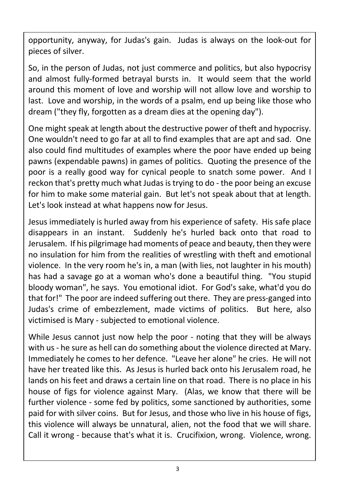opportunity, anyway, for Judas's gain. Judas is always on the look-out for pieces of silver.

So, in the person of Judas, not just commerce and politics, but also hypocrisy and almost fully-formed betrayal bursts in. It would seem that the world around this moment of love and worship will not allow love and worship to last. Love and worship, in the words of a psalm, end up being like those who dream ("they fly, forgotten as a dream dies at the opening day").

One might speak at length about the destructive power of theft and hypocrisy. One wouldn't need to go far at all to find examples that are apt and sad. One also could find multitudes of examples where the poor have ended up being pawns (expendable pawns) in games of politics. Quoting the presence of the poor is a really good way for cynical people to snatch some power. And I reckon that's pretty much what Judas is trying to do - the poor being an excuse for him to make some material gain. But let's not speak about that at length. Let's look instead at what happens now for Jesus.

Jesus immediately is hurled away from his experience of safety. His safe place disappears in an instant. Suddenly he's hurled back onto that road to Jerusalem. If his pilgrimage had moments of peace and beauty, then they were no insulation for him from the realities of wrestling with theft and emotional violence. In the very room he's in, a man (with lies, not laughter in his mouth) has had a savage go at a woman who's done a beautiful thing. "You stupid bloody woman", he says. You emotional idiot. For God's sake, what'd you do that for!" The poor are indeed suffering out there. They are press-ganged into Judas's crime of embezzlement, made victims of politics. But here, also victimised is Mary - subjected to emotional violence.

While Jesus cannot just now help the poor - noting that they will be always with us - he sure as hell can do something about the violence directed at Mary. Immediately he comes to her defence. "Leave her alone" he cries. He will not have her treated like this. As Jesus is hurled back onto his Jerusalem road, he lands on his feet and draws a certain line on that road. There is no place in his house of figs for violence against Mary. (Alas, we know that there will be further violence - some fed by politics, some sanctioned by authorities, some paid for with silver coins. But for Jesus, and those who live in his house of figs, this violence will always be unnatural, alien, not the food that we will share. Call it wrong - because that's what it is. Crucifixion, wrong. Violence, wrong.